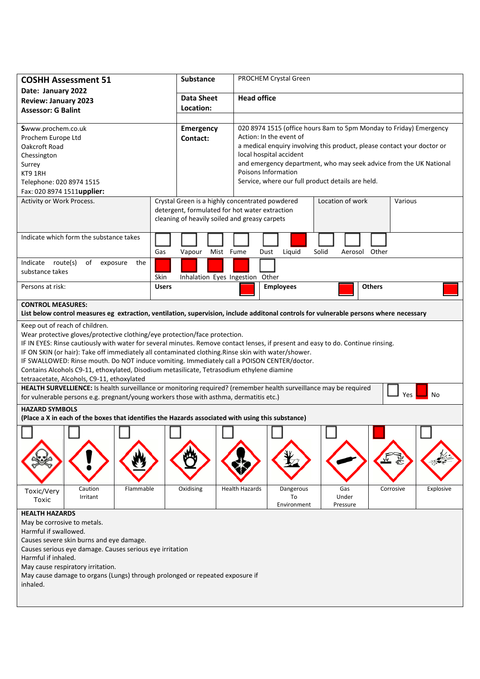| <b>COSHH Assessment 51</b>                                                                                                                                                                                                                                                                                                                                                                                                                                                                                                                                                                                                                                                           |                      | <b>Substance</b>                              | PROCHEM Crystal Green                                                                              |                                                                    |       |                          |               |           |           |  |
|--------------------------------------------------------------------------------------------------------------------------------------------------------------------------------------------------------------------------------------------------------------------------------------------------------------------------------------------------------------------------------------------------------------------------------------------------------------------------------------------------------------------------------------------------------------------------------------------------------------------------------------------------------------------------------------|----------------------|-----------------------------------------------|----------------------------------------------------------------------------------------------------|--------------------------------------------------------------------|-------|--------------------------|---------------|-----------|-----------|--|
| Date: January 2022<br><b>Review: January 2023</b>                                                                                                                                                                                                                                                                                                                                                                                                                                                                                                                                                                                                                                    |                      | <b>Data Sheet</b>                             |                                                                                                    | <b>Head office</b>                                                 |       |                          |               |           |           |  |
| <b>Assessor: G Balint</b>                                                                                                                                                                                                                                                                                                                                                                                                                                                                                                                                                                                                                                                            |                      | Location:                                     |                                                                                                    |                                                                    |       |                          |               |           |           |  |
|                                                                                                                                                                                                                                                                                                                                                                                                                                                                                                                                                                                                                                                                                      |                      |                                               |                                                                                                    |                                                                    |       |                          |               |           |           |  |
| Swww.prochem.co.uk                                                                                                                                                                                                                                                                                                                                                                                                                                                                                                                                                                                                                                                                   |                      | Emergency                                     |                                                                                                    | 020 8974 1515 (office hours 8am to 5pm Monday to Friday) Emergency |       |                          |               |           |           |  |
| Prochem Europe Ltd                                                                                                                                                                                                                                                                                                                                                                                                                                                                                                                                                                                                                                                                   |                      | Contact:                                      | Action: In the event of                                                                            |                                                                    |       |                          |               |           |           |  |
| Oakcroft Road                                                                                                                                                                                                                                                                                                                                                                                                                                                                                                                                                                                                                                                                        |                      |                                               | a medical enquiry involving this product, please contact your doctor or<br>local hospital accident |                                                                    |       |                          |               |           |           |  |
| Chessington<br>Surrey                                                                                                                                                                                                                                                                                                                                                                                                                                                                                                                                                                                                                                                                |                      |                                               |                                                                                                    | and emergency department, who may seek advice from the UK National |       |                          |               |           |           |  |
| KT9 1RH                                                                                                                                                                                                                                                                                                                                                                                                                                                                                                                                                                                                                                                                              |                      |                                               |                                                                                                    | Poisons Information                                                |       |                          |               |           |           |  |
| Telephone: 020 8974 1515                                                                                                                                                                                                                                                                                                                                                                                                                                                                                                                                                                                                                                                             |                      |                                               |                                                                                                    | Service, where our full product details are held.                  |       |                          |               |           |           |  |
| Fax: 020 8974 1511upplier:                                                                                                                                                                                                                                                                                                                                                                                                                                                                                                                                                                                                                                                           |                      |                                               |                                                                                                    |                                                                    |       |                          |               |           |           |  |
| Activity or Work Process.                                                                                                                                                                                                                                                                                                                                                                                                                                                                                                                                                                                                                                                            |                      |                                               | Location of work<br>Crystal Green is a highly concentrated powdered<br>Various                     |                                                                    |       |                          |               |           |           |  |
|                                                                                                                                                                                                                                                                                                                                                                                                                                                                                                                                                                                                                                                                                      |                      |                                               | detergent, formulated for hot water extraction                                                     |                                                                    |       |                          |               |           |           |  |
|                                                                                                                                                                                                                                                                                                                                                                                                                                                                                                                                                                                                                                                                                      |                      | cleaning of heavily soiled and greasy carpets |                                                                                                    |                                                                    |       |                          |               |           |           |  |
| Indicate which form the substance takes                                                                                                                                                                                                                                                                                                                                                                                                                                                                                                                                                                                                                                              |                      |                                               |                                                                                                    |                                                                    |       |                          |               |           |           |  |
|                                                                                                                                                                                                                                                                                                                                                                                                                                                                                                                                                                                                                                                                                      | Gas                  | Mist Fume<br>Vapour                           |                                                                                                    | Liquid<br>Dust                                                     | Solid |                          | Aerosol Other |           |           |  |
| Indicate route(s)<br>of<br>exposure<br>the<br>substance takes                                                                                                                                                                                                                                                                                                                                                                                                                                                                                                                                                                                                                        |                      |                                               |                                                                                                    |                                                                    |       |                          |               |           |           |  |
| Persons at risk:                                                                                                                                                                                                                                                                                                                                                                                                                                                                                                                                                                                                                                                                     | Skin<br><b>Users</b> | Inhalation Eyes Ingestion Other               |                                                                                                    | <b>Employees</b>                                                   |       |                          | <b>Others</b> |           |           |  |
|                                                                                                                                                                                                                                                                                                                                                                                                                                                                                                                                                                                                                                                                                      |                      |                                               |                                                                                                    |                                                                    |       |                          |               |           |           |  |
| <b>CONTROL MEASURES:</b><br>List below control measures eg extraction, ventilation, supervision, include additonal controls for vulnerable persons where necessary                                                                                                                                                                                                                                                                                                                                                                                                                                                                                                                   |                      |                                               |                                                                                                    |                                                                    |       |                          |               |           |           |  |
| Wear protective gloves/protective clothing/eye protection/face protection.<br>IF IN EYES: Rinse cautiously with water for several minutes. Remove contact lenses, if present and easy to do. Continue rinsing.<br>IF ON SKIN (or hair): Take off immediately all contaminated clothing. Rinse skin with water/shower.<br>IF SWALLOWED: Rinse mouth. Do NOT induce vomiting. Immediately call a POISON CENTER/doctor.<br>Contains Alcohols C9-11, ethoxylated, Disodium metasilicate, Tetrasodium ethylene diamine<br>tetraacetate, Alcohols, C9-11, ethoxylated<br>HEALTH SURVELLIENCE: Is health surveillance or monitoring required? (remember health surveillance may be required |                      |                                               |                                                                                                    |                                                                    |       |                          |               |           |           |  |
| No<br>Yes<br>for vulnerable persons e.g. pregnant/young workers those with asthma, dermatitis etc.)                                                                                                                                                                                                                                                                                                                                                                                                                                                                                                                                                                                  |                      |                                               |                                                                                                    |                                                                    |       |                          |               |           |           |  |
| <b>HAZARD SYMBOLS</b><br>(Place a X in each of the boxes that identifies the Hazards associated with using this substance)                                                                                                                                                                                                                                                                                                                                                                                                                                                                                                                                                           |                      |                                               |                                                                                                    |                                                                    |       |                          |               |           |           |  |
|                                                                                                                                                                                                                                                                                                                                                                                                                                                                                                                                                                                                                                                                                      |                      |                                               |                                                                                                    |                                                                    |       |                          |               |           |           |  |
|                                                                                                                                                                                                                                                                                                                                                                                                                                                                                                                                                                                                                                                                                      |                      |                                               |                                                                                                    |                                                                    |       |                          |               |           |           |  |
| Caution<br>Flammable<br>Toxic/Very<br>Irritant<br>Toxic                                                                                                                                                                                                                                                                                                                                                                                                                                                                                                                                                                                                                              | Oxidising            |                                               | <b>Health Hazards</b>                                                                              | Dangerous<br>To<br>Environment                                     |       | Gas<br>Under<br>Pressure |               | Corrosive | Explosive |  |
| <b>HEALTH HAZARDS</b><br>May be corrosive to metals.<br>Harmful if swallowed.<br>Causes severe skin burns and eye damage.<br>Causes serious eye damage. Causes serious eye irritation<br>Harmful if inhaled.<br>May cause respiratory irritation.<br>May cause damage to organs (Lungs) through prolonged or repeated exposure if<br>inhaled.                                                                                                                                                                                                                                                                                                                                        |                      |                                               |                                                                                                    |                                                                    |       |                          |               |           |           |  |